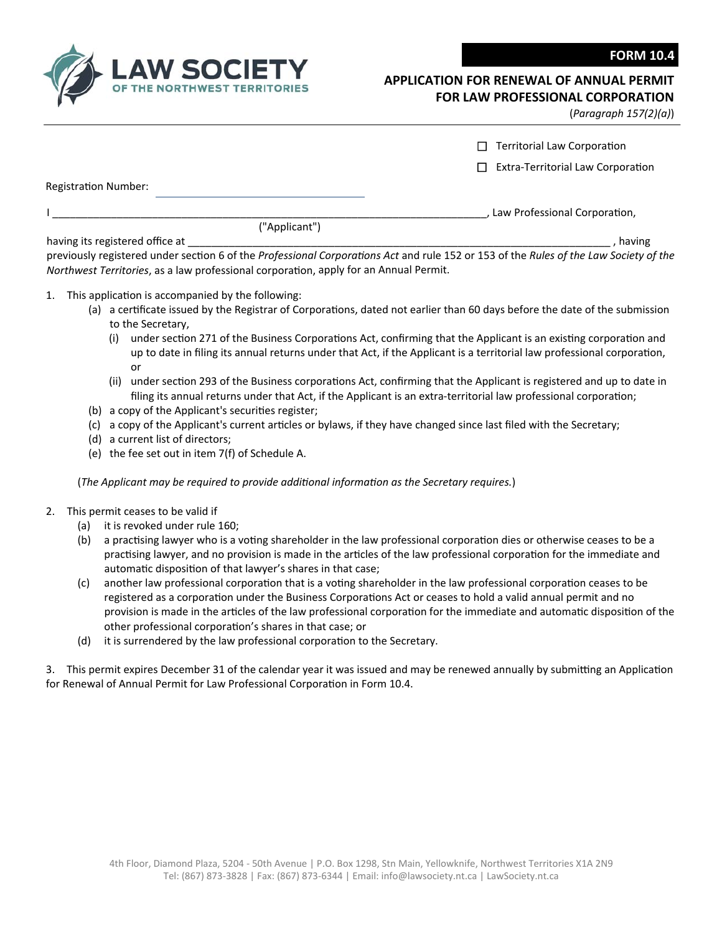

## **APPLICATION FOR RENEWAL OF ANNUAL PERMIT FOR LAW PROFESSIONAL CORPORATION**

(*Paragraph 157(2)(a)*)

|                             |                                                                                                                                            | <b>Territorial Law Corporation</b>                                                                                                                                                                                                          |
|-----------------------------|--------------------------------------------------------------------------------------------------------------------------------------------|---------------------------------------------------------------------------------------------------------------------------------------------------------------------------------------------------------------------------------------------|
|                             |                                                                                                                                            | <b>Extra-Territorial Law Corporation</b>                                                                                                                                                                                                    |
| <b>Registration Number:</b> |                                                                                                                                            |                                                                                                                                                                                                                                             |
|                             |                                                                                                                                            | , Law Professional Corporation,                                                                                                                                                                                                             |
|                             | ("Applicant")                                                                                                                              |                                                                                                                                                                                                                                             |
|                             | having its registered office at                                                                                                            | having                                                                                                                                                                                                                                      |
| 1.                          | Northwest Territories, as a law professional corporation, apply for an Annual Permit.<br>This application is accompanied by the following: | previously registered under section 6 of the Professional Corporations Act and rule 152 or 153 of the Rules of the Law Society of the                                                                                                       |
|                             | to the Secretary,                                                                                                                          | (a) a certificate issued by the Registrar of Corporations, dated not earlier than 60 days before the date of the submission                                                                                                                 |
|                             | (i)<br>or                                                                                                                                  | under section 271 of the Business Corporations Act, confirming that the Applicant is an existing corporation and<br>up to date in filing its annual returns under that Act, if the Applicant is a territorial law professional corporation, |
|                             | (ii)                                                                                                                                       | under section 293 of the Business corporations Act, confirming that the Applicant is registered and up to date in<br>filing its annual returns under that Act, if the Applicant is an extra-territorial law professional corporation;       |
| (b)                         | a copy of the Applicant's securities register;                                                                                             |                                                                                                                                                                                                                                             |

- (c) a copy of the Applicant's current articles or bylaws, if they have changed since last filed with the Secretary;
- (d) a current list of directors;
- (e) the fee set out in item 7(f) of Schedule A.

(*The Applicant may be required to provide addiƟonal informaƟon as the Secretary requires.*)

- 2. This permit ceases to be valid if
	- (a) it is revoked under rule 160;
	- (b) a practising lawyer who is a voting shareholder in the law professional corporation dies or otherwise ceases to be a practising lawyer, and no provision is made in the articles of the law professional corporation for the immediate and automatic disposition of that lawyer's shares in that case;
	- (c) another law professional corporation that is a voting shareholder in the law professional corporation ceases to be registered as a corporation under the Business Corporations Act or ceases to hold a valid annual permit and no provision is made in the articles of the law professional corporation for the immediate and automatic disposition of the other professional corporation's shares in that case; or
	- (d) it is surrendered by the law professional corporation to the Secretary.

3. This permit expires December 31 of the calendar year it was issued and may be renewed annually by submitting an Application for Renewal of Annual Permit for Law Professional Corporation in Form 10.4.